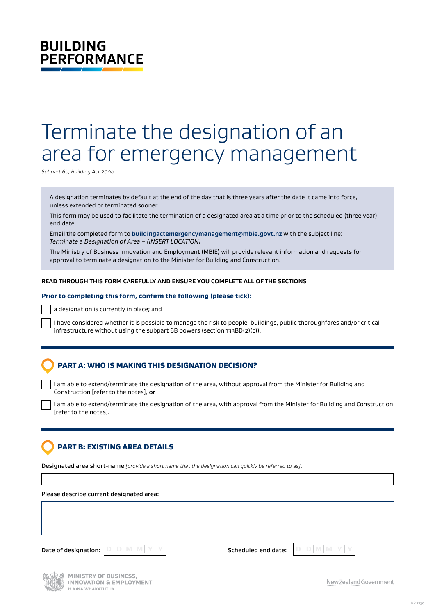# **BUILDING PERFORMANCE**

# Terminate the designation of an area for emergency management

*Subpart 6b, Building Act 2004*

A designation terminates by default at the end of the day that is three years after the date it came into force, unless extended or terminated sooner.

This form may be used to facilitate the termination of a designated area at a time prior to the scheduled (three year) end date.

Email the completed form to **[buildingactemergencymanagement@mbie.govt.nz](mailto:buildingactemergencymanagement%40mbie.govt.nz?subject=)** with the subject line: *Terminate a Designation of Area – (INSERT LOCATION)*

The Ministry of Business Innovation and Employment (MBIE) will provide relevant information and requests for approval to terminate a designation to the Minister for Building and Construction.

# **READ THROUGH THIS FORM CAREFULLY AND ENSURE YOU COMPLETE ALL OF THE SECTIONS**

#### **Prior to completing this form, confirm the following (please tick):**

a designation is currently in place; and

I have considered whether it is possible to manage the risk to people, buildings, public thoroughfares and/or critical infrastructure without using the subpart 6B powers (section 133BD(2)(c)).

# PART A: WHO IS MAKING THIS DESIGNATION DECISION?

I am able to extend/terminate the designation of the area, without approval from the Minister for Building and Construction [refer to the notes], **or**

I am able to extend/terminate the designation of the area, with approval from the Minister for Building and Construction [refer to the notes].

# PART B: EXISTING AREA DETAILS

Designated area short-name *[provide a short name that the designation can quickly be referred to as]*:

Please describe current designated area:







New Zealand Government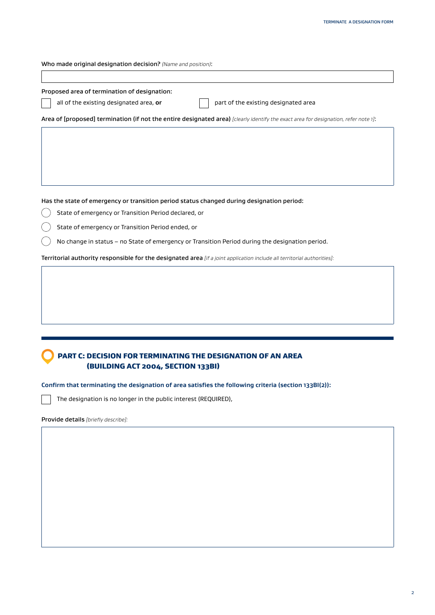Who made original designation decision? *(Name and position)*:

| all of the existing designated area, or<br>part of the existing designated area<br>State of emergency or Transition Period declared, or<br>State of emergency or Transition Period ended, or<br>No change in status - no State of emergency or Transition Period during the designation period.<br>PART C: DECISION FOR TERMINATING THE DESIGNATION OF AN AREA<br>(BUILDING ACT 2004, SECTION 133BI)<br>The designation is no longer in the public interest (REQUIRED), | Proposed area of termination of designation: |  |
|-------------------------------------------------------------------------------------------------------------------------------------------------------------------------------------------------------------------------------------------------------------------------------------------------------------------------------------------------------------------------------------------------------------------------------------------------------------------------|----------------------------------------------|--|
| Area of [proposed] termination (if not the entire designated area) [clearly identify the exact area for designation, refer note 1]:                                                                                                                                                                                                                                                                                                                                     |                                              |  |
|                                                                                                                                                                                                                                                                                                                                                                                                                                                                         |                                              |  |
|                                                                                                                                                                                                                                                                                                                                                                                                                                                                         |                                              |  |
| Has the state of emergency or transition period status changed during designation period:                                                                                                                                                                                                                                                                                                                                                                               |                                              |  |
|                                                                                                                                                                                                                                                                                                                                                                                                                                                                         |                                              |  |
|                                                                                                                                                                                                                                                                                                                                                                                                                                                                         |                                              |  |
|                                                                                                                                                                                                                                                                                                                                                                                                                                                                         |                                              |  |
|                                                                                                                                                                                                                                                                                                                                                                                                                                                                         |                                              |  |
|                                                                                                                                                                                                                                                                                                                                                                                                                                                                         |                                              |  |
|                                                                                                                                                                                                                                                                                                                                                                                                                                                                         |                                              |  |
|                                                                                                                                                                                                                                                                                                                                                                                                                                                                         |                                              |  |
| Territorial authority responsible for the designated area [if a joint application include all territorial authorities]:                                                                                                                                                                                                                                                                                                                                                 |                                              |  |
|                                                                                                                                                                                                                                                                                                                                                                                                                                                                         |                                              |  |
|                                                                                                                                                                                                                                                                                                                                                                                                                                                                         |                                              |  |
| Confirm that terminating the designation of area satisfies the following criteria (section 133BI(2)):<br>Provide details [briefly describe]:                                                                                                                                                                                                                                                                                                                            |                                              |  |
|                                                                                                                                                                                                                                                                                                                                                                                                                                                                         |                                              |  |
|                                                                                                                                                                                                                                                                                                                                                                                                                                                                         |                                              |  |
|                                                                                                                                                                                                                                                                                                                                                                                                                                                                         |                                              |  |
|                                                                                                                                                                                                                                                                                                                                                                                                                                                                         |                                              |  |
|                                                                                                                                                                                                                                                                                                                                                                                                                                                                         |                                              |  |
|                                                                                                                                                                                                                                                                                                                                                                                                                                                                         |                                              |  |
|                                                                                                                                                                                                                                                                                                                                                                                                                                                                         |                                              |  |
|                                                                                                                                                                                                                                                                                                                                                                                                                                                                         |                                              |  |
|                                                                                                                                                                                                                                                                                                                                                                                                                                                                         |                                              |  |
|                                                                                                                                                                                                                                                                                                                                                                                                                                                                         |                                              |  |
|                                                                                                                                                                                                                                                                                                                                                                                                                                                                         |                                              |  |
|                                                                                                                                                                                                                                                                                                                                                                                                                                                                         |                                              |  |
|                                                                                                                                                                                                                                                                                                                                                                                                                                                                         |                                              |  |
|                                                                                                                                                                                                                                                                                                                                                                                                                                                                         |                                              |  |
|                                                                                                                                                                                                                                                                                                                                                                                                                                                                         |                                              |  |
|                                                                                                                                                                                                                                                                                                                                                                                                                                                                         |                                              |  |
|                                                                                                                                                                                                                                                                                                                                                                                                                                                                         |                                              |  |
|                                                                                                                                                                                                                                                                                                                                                                                                                                                                         |                                              |  |
|                                                                                                                                                                                                                                                                                                                                                                                                                                                                         |                                              |  |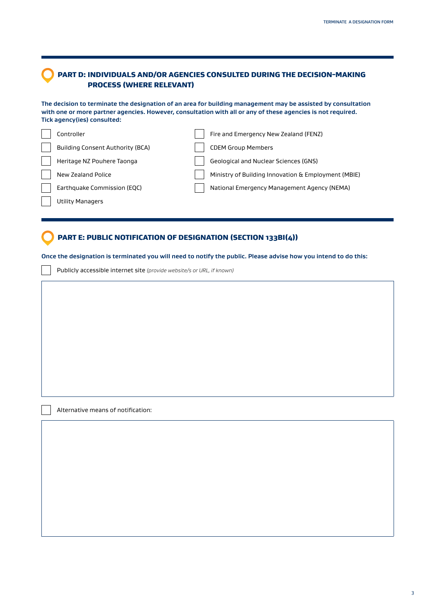# PART D: INDIVIDUALS AND/OR AGENCIES CONSULTED DURING THE DECISION-MAKING PROCESS (WHERE RELEVANT)

**The decision to terminate the designation of an area for building management may be assisted by consultation with one or more partner agencies. However, consultation with all or any of these agencies is not required. Tick agency(ies) consulted:**

| Controller                              | Fire and Emergency New Zealand (FENZ)               |
|-----------------------------------------|-----------------------------------------------------|
| <b>Building Consent Authority (BCA)</b> | <b>CDEM Group Members</b>                           |
| Heritage NZ Pouhere Taonga              | Geological and Nuclear Sciences (GNS)               |
| New Zealand Police                      | Ministry of Building Innovation & Employment (MBIE) |
| Earthquake Commission (EQC)             | National Emergency Management Agency (NEMA)         |
| <b>Utility Managers</b>                 |                                                     |

# PART E: PUBLIC NOTIFICATION OF DESIGNATION (SECTION 133BI(4))

**Once the designation is terminated you will need to notify the public. Please advise how you intend to do this:**

Publicly accessible internet site *(provide website/s or URL, if known)*

Alternative means of notification: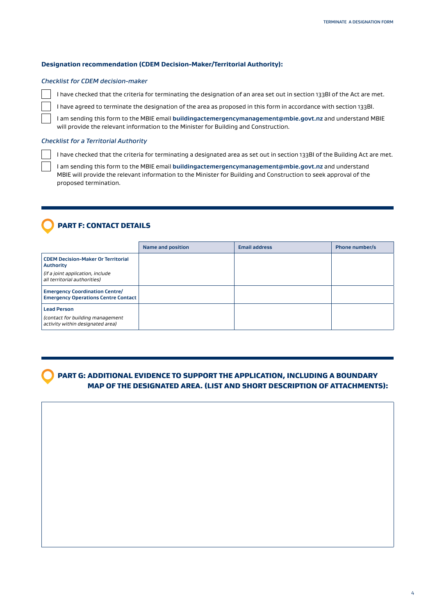# **Designation recommendation (CDEM Decision-Maker/Territorial Authority):**

#### *Checklist for CDEM decision-maker*

I have checked that the criteria for terminating the designation of an area set out in section 133BI of the Act are met.

I have agreed to terminate the designation of the area as proposed in this form in accordance with section 133BI.

I am sending this form to the MBIE email **[buildingactemergencymanagement@mbie.govt.nz](mailto:buildingactemergencymanagement%40mbie.govt.nz?subject=)** and understand MBIE will provide the relevant information to the Minister for Building and Construction.

#### *Checklist for a Territorial Authority*

I have checked that the criteria for terminating a designated area as set out in section 133BI of the Building Act are met.

I am sending this form to the MBIE email **[buildingactemergencymanagement@mbie.govt.nz](mailto:buildingactemergencymanagement%40mbie.govt.nz?subject=)** and understand MBIE will provide the relevant information to the Minister for Building and Construction to seek approval of the proposed termination.

# PART F: CONTACT DETAILS

|                                                                                            | <b>Name and position</b> | <b>Email address</b> | <b>Phone number/s</b> |
|--------------------------------------------------------------------------------------------|--------------------------|----------------------|-----------------------|
| <b>CDEM Decision-Maker Or Territorial</b><br><b>Authority</b>                              |                          |                      |                       |
| (if a joint application, include<br>all territorial authorities)                           |                          |                      |                       |
| <b>Emergency Coordination Centre/</b><br><b>Emergency Operations Centre Contact</b>        |                          |                      |                       |
| <b>Lead Person</b><br>(contact for building management<br>activity within designated area) |                          |                      |                       |

 PART G: ADDITIONAL EVIDENCE TO SUPPORT THE APPLICATION, INCLUDING A BOUNDARY MAP OF THE DESIGNATED AREA. (LIST AND SHORT DESCRIPTION OF ATTACHMENTS):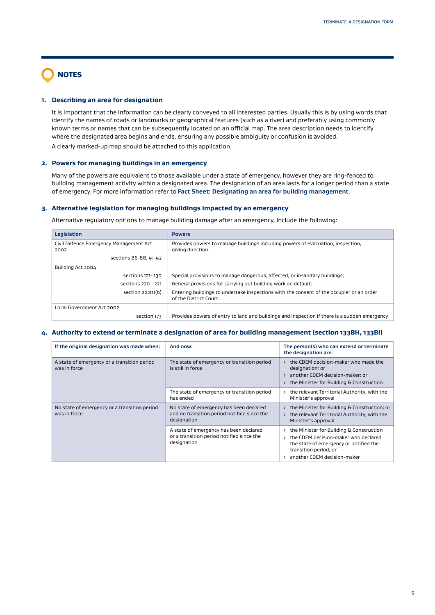# NOTES

# **1. Describing an area for designation**

It is important that the information can be clearly conveyed to all interested parties. Usually this is by using words that identify the names of roads or landmarks or geographical features (such as a river) and preferably using commonly known terms or names that can be subsequently located on an official map. The area description needs to identify where the designated area begins and ends, ensuring any possible ambiguity or confusion is avoided.

A clearly marked-up map should be attached to this application.

# **2. Powers for managing buildings in an emergency**

Many of the powers are equivalent to those available under a state of emergency, however they are ring-fenced to building management activity within a designated area. The designation of an area lasts for a longer period than a state of emergency. For more information refer to **[Fact Sheet: Designating an area for building management](https://www.building.govt.nz/managing-buildings/managing-buildings-in-an-emergency/#jumpto-resources-for-decision__002dmakers-and-territorial-authorities)**.

### **3. Alternative legislation for managing buildings impacted by an emergency**

Alternative regulatory options to manage building damage after an emergency, include the following:

| Legislation                                    | <b>Powers</b>                                                                                                      |
|------------------------------------------------|--------------------------------------------------------------------------------------------------------------------|
| Civil Defence Emergency Management Act<br>2002 | Provides powers to manage buildings including powers of evacuation, inspection,<br>giving direction.               |
| sections 86-88, 91-92                          |                                                                                                                    |
| Building Act 2004                              |                                                                                                                    |
| sections 121-130                               | Special provisions to manage dangerous, affected, or insanitary buildings;                                         |
| sections 220 - 221                             | General provisions for carrying out building work on default;                                                      |
| section 222(1)(b)                              | Entering buildings to undertake inspections with the consent of the occupier or an order<br>of the District Court. |
| Local Government Act 2002                      |                                                                                                                    |
| section 173                                    | Provides powers of entry to land and buildings and inspection if there is a sudden emergency                       |

# **4. Authority to extend or terminate a designation of area for building management (section 133BH, 133BI)**

| If the original designation was made when:                   | And now:                                                                                              | The person(s) who can extend or terminate<br>the designation are:                                                                                                                                   |
|--------------------------------------------------------------|-------------------------------------------------------------------------------------------------------|-----------------------------------------------------------------------------------------------------------------------------------------------------------------------------------------------------|
| A state of emergency or a transition period<br>was in force  | The state of emergency or transition period<br>is still in force                                      | the CDEM decision-maker who made the<br>designation; or<br>another CDEM decision-maker; or<br>the Minister for Building & Construction<br>$\sum$                                                    |
|                                                              | The state of emergency or transition period<br>has ended                                              | the relevant Territorial Authority, with the<br>$\rightarrow$<br>Minister's approval                                                                                                                |
| No state of emergency or a transition period<br>was in force | No state of emergency has been declared<br>and no transition period notified since the<br>designation | the Minister for Building & Construction; or<br>the relevant Territorial Authority, with the<br>$\sum$<br>Minister's approval                                                                       |
|                                                              | A state of emergency has been declared<br>or a transition period notified since the<br>designation    | the Minister for Building & Construction<br>$\rightarrow$<br>the CDEM decision-maker who declared<br>the state of emergency or notified the<br>transition period; or<br>another CDEM decision-maker |